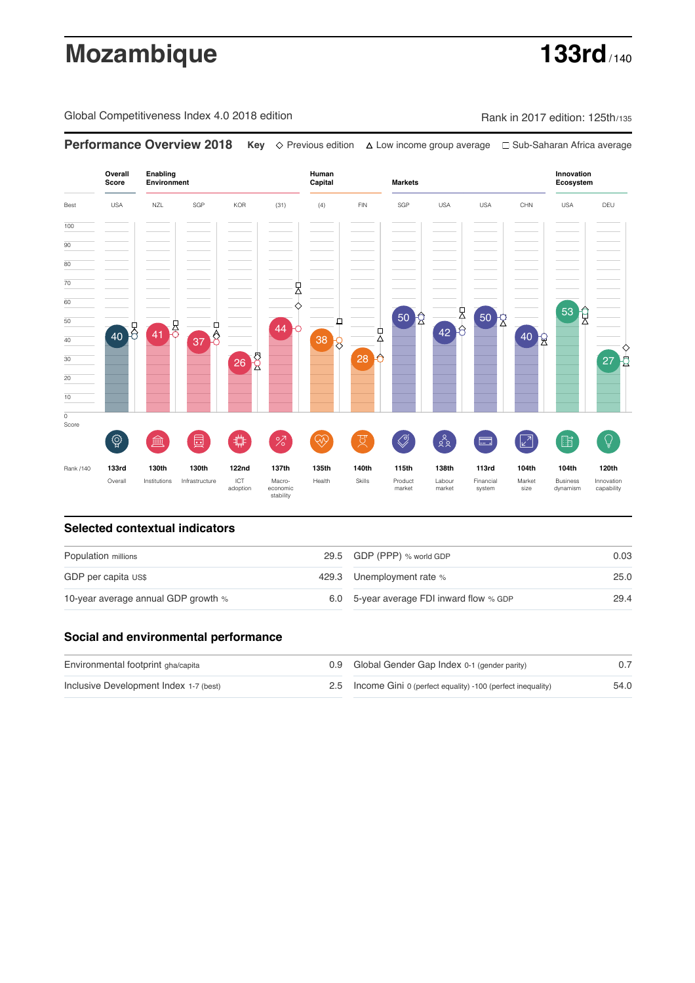# **Mozambique 133rd**

Global Competitiveness Index 4.0 2018 edition Rank in 2017 edition: 125th/135

**Performance Overview 2018 Key** Previous edition Low income group average Sub-Saharan Africa average

**Overall Innovation Enabling Environment Human Capital Markets Score Ecosystem** Best USA NZL SGP KOR (31) (4) FIN SGP USA USA CHN USA DEU 100  $\overline{90}$ 80 70 , 60  $\frac{1}{42}$ 53 Q 50 2 50  $\frac{1}{2}$ 50 户 40 3 41 3  $\overline{37}$  $\overline{8}$  $\overline{A}$ りょうしょう  $40<sub>2</sub>$ 40  $38<sub>2</sub>$  $26\frac{8}{2}$ 30 28  $27<sup>1</sup>$ 20 10  $\overline{\text{o}}$ Score ♦ ៍{៌្ម}  $\oslash$  $88$ **ledge (** 屵 %)(  $\circledcirc$  ( स 击  $\sqrt{2}$ 酯 E Rank /140 **133rd 130th 130th 122nd 137th 135th 140th 115th 138th 113rd 104th 104th 120th** Overall Institutions Infrastructure ICT<br>adoption Health Skills Product market Labour<br>market Financial system Market size Business dynamism Innovation capability

### **Selected contextual indicators**

| Population millions                 |  | 29.5 GDP (PPP) % world GDP               | 0.03 |
|-------------------------------------|--|------------------------------------------|------|
| GDP per capita US\$                 |  | 429.3 Unemployment rate %                | 25.0 |
| 10-year average annual GDP growth % |  | 6.0 5-year average FDI inward flow % GDP | 29.4 |

### **Social and environmental performance**

| Environmental footprint gha/capita     | 0.9 Global Gender Gap Index 0-1 (gender parity)                |      |
|----------------------------------------|----------------------------------------------------------------|------|
| Inclusive Development Index 1-7 (best) | 2.5 Income Gini 0 (perfect equality) -100 (perfect inequality) | 54.0 |

adoption Macro- economic stability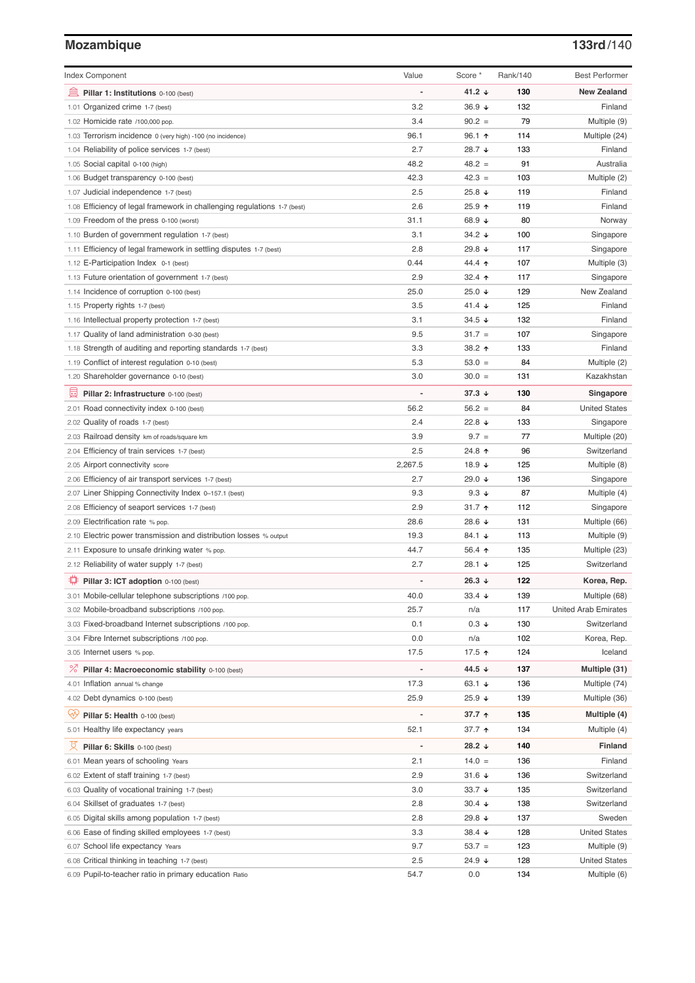# **Mozambique 133rd**/140

| <b>Index Component</b>                                                                   | Value          | Score *                     | Rank/140   | <b>Best Performer</b>       |
|------------------------------------------------------------------------------------------|----------------|-----------------------------|------------|-----------------------------|
| 寙<br>Pillar 1: Institutions 0-100 (best)                                                 |                | 41.2 $\downarrow$           | 130        | <b>New Zealand</b>          |
| Organized crime 1-7 (best)<br>1.01                                                       | 3.2            | 36.9 ↓                      | 132        | Finland                     |
| 1.02 Homicide rate /100,000 pop.                                                         | 3.4            | $90.2 =$                    | 79         | Multiple (9)                |
| 1.03 Terrorism incidence 0 (very high) -100 (no incidence)                               | 96.1           | $96.1$ ↑                    | 114        | Multiple (24)               |
| 1.04 Reliability of police services 1-7 (best)                                           | 2.7            | 28.7 ↓                      | 133        | Finland                     |
| 1.05 Social capital 0-100 (high)                                                         | 48.2           | $48.2 =$                    | 91         | Australia                   |
| 1.06 Budget transparency 0-100 (best)                                                    | 42.3           | $42.3 =$                    | 103        | Multiple (2)                |
| 1.07 Judicial independence 1-7 (best)                                                    | 2.5            | 25.8 ↓                      | 119        | Finland                     |
| 1.08 Efficiency of legal framework in challenging regulations 1-7 (best)                 | 2.6            | 25.9 ↑                      | 119        | Finland                     |
| 1.09 Freedom of the press 0-100 (worst)                                                  | 31.1           | 68.9 ↓                      | 80         | Norway                      |
| 1.10 Burden of government regulation 1-7 (best)                                          | 3.1            | $34.2 \; \downarrow$        | 100        | Singapore                   |
| 1.11 Efficiency of legal framework in settling disputes 1-7 (best)                       | 2.8            | 29.8 ↓                      | 117        | Singapore                   |
| 1.12 E-Participation Index 0-1 (best)                                                    | 0.44           | 44.4 1                      | 107        | Multiple (3)                |
| 1.13 Future orientation of government 1-7 (best)                                         | 2.9            | 32.4 $\uparrow$             | 117        | Singapore                   |
| 1.14 Incidence of corruption 0-100 (best)                                                | 25.0           | 25.0 $\sqrt{ }$             | 129        | New Zealand                 |
| 1.15 Property rights 1-7 (best)                                                          | 3.5            | 41.4 $\sqrt{ }$             | 125        | Finland                     |
| 1.16 Intellectual property protection 1-7 (best)                                         | 3.1            | $34.5 +$                    | 132        | Finland                     |
| 1.17 Quality of land administration 0-30 (best)                                          | 9.5            | $31.7 =$                    | 107        | Singapore                   |
| 1.18 Strength of auditing and reporting standards 1-7 (best)                             | 3.3            | 38.2 ↑                      | 133        | Finland                     |
| 1.19 Conflict of interest regulation 0-10 (best)                                         | 5.3            | $53.0 =$                    | 84         | Multiple (2)                |
| 1.20 Shareholder governance 0-10 (best)                                                  | 3.0            | $30.0 =$                    | 131        | Kazakhstan                  |
| 員<br>Pillar 2: Infrastructure 0-100 (best)                                               |                | $37.3 +$                    | 130        | Singapore                   |
| 2.01 Road connectivity index 0-100 (best)                                                | 56.2           | $56.2 =$                    | 84         | <b>United States</b>        |
| 2.02 Quality of roads 1-7 (best)                                                         | 2.4            | 22.8 $\sqrt{ }$             | 133        | Singapore                   |
| 2.03 Railroad density km of roads/square km                                              | 3.9            | $9.7 =$                     | 77         | Multiple (20)               |
| 2.04 Efficiency of train services 1-7 (best)                                             | 2.5            | 24.8 ↑                      | 96         | Switzerland                 |
| 2.05 Airport connectivity score                                                          | 2,267.5        | 18.9 $\sqrt{ }$             | 125        | Multiple (8)                |
| 2.06 Efficiency of air transport services 1-7 (best)                                     | 2.7            | 29.0 ↓                      | 136        | Singapore                   |
| 2.07 Liner Shipping Connectivity Index 0-157.1 (best)                                    | 9.3            | 9.3 $\downarrow$            | 87         | Multiple (4)                |
| 2.08 Efficiency of seaport services 1-7 (best)                                           | 2.9            | $31.7$ 1                    | 112        | Singapore                   |
| 2.09 Electrification rate % pop.                                                         | 28.6           | 28.6 ↓                      | 131        | Multiple (66)               |
| 2.10 Electric power transmission and distribution losses % output                        | 19.3           | 84.1 $\sqrt{ }$             | 113        | Multiple (9)                |
| 2.11 Exposure to unsafe drinking water % pop.                                            | 44.7           | 56.4 $\uparrow$             | 135        | Multiple (23)               |
| 2.12 Reliability of water supply 1-7 (best)                                              | 2.7            | 28.1 $\sqrt{ }$             | 125        | Switzerland                 |
| O<br>Pillar 3: ICT adoption 0-100 (best)                                                 |                | 26.3 $\sqrt{ }$             | 122        | Korea, Rep.                 |
| 3.01 Mobile-cellular telephone subscriptions /100 pop.                                   | 40.0           | 33.4 $\sqrt{ }$             | 139        | Multiple (68)               |
| 3.02 Mobile-broadband subscriptions /100 pop.                                            | 25.7           | n/a                         | 117        | <b>United Arab Emirates</b> |
| 3.03 Fixed-broadband Internet subscriptions /100 pop.                                    | 0.1            | $0.3 \downarrow$            | 130        | Switzerland                 |
| 3.04 Fibre Internet subscriptions /100 pop.                                              | 0.0            | n/a                         | 102        | Korea, Rep.                 |
| 3.05 Internet users % pop.                                                               | 17.5           | 17.5 ↑                      | 124        | Iceland                     |
| ℅<br>Pillar 4: Macroeconomic stability 0-100 (best)                                      | $\overline{a}$ | 44.5 ↓                      | 137        | Multiple (31)               |
| 4.01 Inflation annual % change                                                           | 17.3           | 63.1 $\sqrt{ }$             | 136        | Multiple (74)               |
| 4.02 Debt dynamics 0-100 (best)                                                          | 25.9           | $25.9 +$                    | 139        | Multiple (36)               |
| Qv<br>Pillar 5: Health 0-100 (best)                                                      |                | 37.7 ↑                      | 135        | Multiple (4)                |
| 5.01 Healthy life expectancy years                                                       | 52.1           | 37.7 1                      | 134        | Multiple (4)                |
| 섯                                                                                        | $\overline{a}$ | 28.2 $\downarrow$           | 140        | Finland                     |
| Pillar 6: Skills 0-100 (best)                                                            |                |                             |            |                             |
| 6.01 Mean years of schooling Years                                                       | 2.1<br>2.9     | $14.0 =$<br>31.6 $\sqrt{ }$ | 136<br>136 | Finland<br>Switzerland      |
| 6.02 Extent of staff training 1-7 (best)                                                 | 3.0            | 33.7 $\sqrt{ }$             | 135        | Switzerland                 |
| 6.03 Quality of vocational training 1-7 (best)                                           |                |                             |            |                             |
| 6.04 Skillset of graduates 1-7 (best)<br>6.05 Digital skills among population 1-7 (best) | 2.8<br>2.8     | $30.4 +$<br>29.8 ↓          | 138<br>137 | Switzerland<br>Sweden       |
| 6.06 Ease of finding skilled employees 1-7 (best)                                        | 3.3            | $38.4 \; \downarrow$        | 128        | <b>United States</b>        |
| 6.07 School life expectancy Years                                                        | 9.7            | $53.7 =$                    | 123        | Multiple (9)                |
| 6.08 Critical thinking in teaching 1-7 (best)                                            | 2.5            | 24.9 ↓                      | 128        | <b>United States</b>        |
| 6.09 Pupil-to-teacher ratio in primary education Ratio                                   | 54.7           | 0.0                         | 134        | Multiple (6)                |